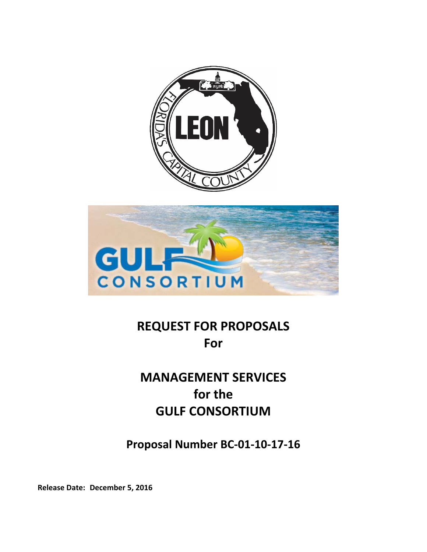



# **REQUEST FOR PROPOSALS For**

# **MANAGEMENT SERVICES for the GULF CONSORTIUM**

**Proposal Number BC‐01‐10‐17‐16**

**Release Date: December 5, 2016**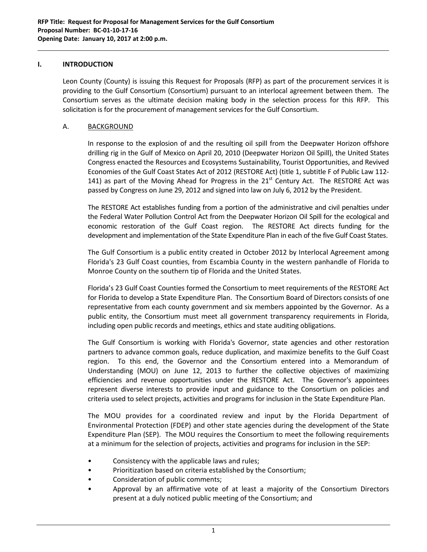### **I. INTRODUCTION**

Leon County (County) is issuing this Request for Proposals (RFP) as part of the procurement services it is providing to the Gulf Consortium (Consortium) pursuant to an interlocal agreement between them. The Consortium serves as the ultimate decision making body in the selection process for this RFP. This solicitation is for the procurement of management services for the Gulf Consortium.

# A. BACKGROUND

In response to the explosion of and the resulting oil spill from the Deepwater Horizon offshore drilling rig in the Gulf of Mexico on April 20, 2010 (Deepwater Horizon Oil Spill), the United States Congress enacted the Resources and Ecosystems Sustainability, Tourist Opportunities, and Revived Economies of the Gulf Coast States Act of 2012 (RESTORE Act) (title 1, subtitle F of Public Law 112‐ 141) as part of the Moving Ahead for Progress in the  $21<sup>st</sup>$  Century Act. The RESTORE Act was passed by Congress on June 29, 2012 and signed into law on July 6, 2012 by the President.

The RESTORE Act establishes funding from a portion of the administrative and civil penalties under the Federal Water Pollution Control Act from the Deepwater Horizon Oil Spill for the ecological and economic restoration of the Gulf Coast region. The RESTORE Act directs funding for the development and implementation of the State Expenditure Plan in each of the five Gulf Coast States.

The Gulf Consortium is a public entity created in October 2012 by Interlocal Agreement among Florida's 23 Gulf Coast counties, from Escambia County in the western panhandle of Florida to Monroe County on the southern tip of Florida and the United States.

Florida's 23 Gulf Coast Counties formed the Consortium to meet requirements of the RESTORE Act for Florida to develop a State Expenditure Plan. The Consortium Board of Directors consists of one representative from each county government and six members appointed by the Governor. As a public entity, the Consortium must meet all government transparency requirements in Florida, including open public records and meetings, ethics and state auditing obligations.

The Gulf Consortium is working with Florida's Governor, state agencies and other restoration partners to advance common goals, reduce duplication, and maximize benefits to the Gulf Coast region. To this end, the Governor and the Consortium entered into a Memorandum of Understanding (MOU) on June 12, 2013 to further the collective objectives of maximizing efficiencies and revenue opportunities under the RESTORE Act. The Governor's appointees represent diverse interests to provide input and guidance to the Consortium on policies and criteria used to select projects, activities and programs for inclusion in the State Expenditure Plan.

The MOU provides for a coordinated review and input by the Florida Department of Environmental Protection (FDEP) and other state agencies during the development of the State Expenditure Plan (SEP). The MOU requires the Consortium to meet the following requirements at a minimum for the selection of projects, activities and programs for inclusion in the SEP:

- Consistency with the applicable laws and rules;
- Prioritization based on criteria established by the Consortium;
- Consideration of public comments;
- Approval by an affirmative vote of at least a majority of the Consortium Directors present at a duly noticed public meeting of the Consortium; and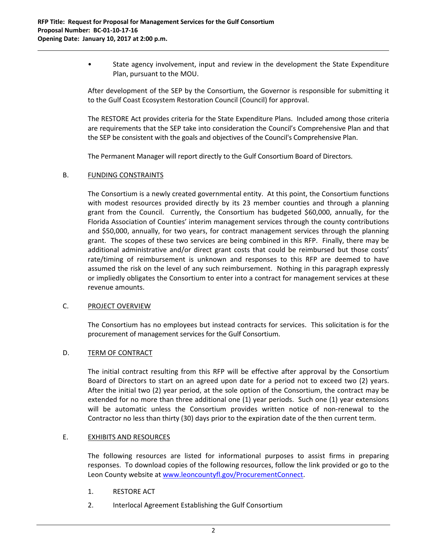• State agency involvement, input and review in the development the State Expenditure Plan, pursuant to the MOU.

After development of the SEP by the Consortium, the Governor is responsible for submitting it to the Gulf Coast Ecosystem Restoration Council (Council) for approval.

The RESTORE Act provides criteria for the State Expenditure Plans. Included among those criteria are requirements that the SEP take into consideration the Council's Comprehensive Plan and that the SEP be consistent with the goals and objectives of the Council's Comprehensive Plan.

The Permanent Manager will report directly to the Gulf Consortium Board of Directors.

#### B. FUNDING CONSTRAINTS

The Consortium is a newly created governmental entity. At this point, the Consortium functions with modest resources provided directly by its 23 member counties and through a planning grant from the Council. Currently, the Consortium has budgeted \$60,000, annually, for the Florida Association of Counties' interim management services through the county contributions and \$50,000, annually, for two years, for contract management services through the planning grant. The scopes of these two services are being combined in this RFP. Finally, there may be additional administrative and/or direct grant costs that could be reimbursed but those costs' rate/timing of reimbursement is unknown and responses to this RFP are deemed to have assumed the risk on the level of any such reimbursement. Nothing in this paragraph expressly or impliedly obligates the Consortium to enter into a contract for management services at these revenue amounts.

# C. PROJECT OVERVIEW

The Consortium has no employees but instead contracts for services. This solicitation is for the procurement of management services for the Gulf Consortium.

#### D. TERM OF CONTRACT

The initial contract resulting from this RFP will be effective after approval by the Consortium Board of Directors to start on an agreed upon date for a period not to exceed two (2) years. After the initial two (2) year period, at the sole option of the Consortium, the contract may be extended for no more than three additional one (1) year periods. Such one (1) year extensions will be automatic unless the Consortium provides written notice of non-renewal to the Contractor no less than thirty (30) days prior to the expiration date of the then current term.

# E. **EXHIBITS AND RESOURCES**

The following resources are listed for informational purposes to assist firms in preparing responses. To download copies of the following resources, follow the link provided or go to the Leon County website at www.leoncountyfl.gov/ProcurementConnect.

- 1. RESTORE ACT
- 2. Interlocal Agreement Establishing the Gulf Consortium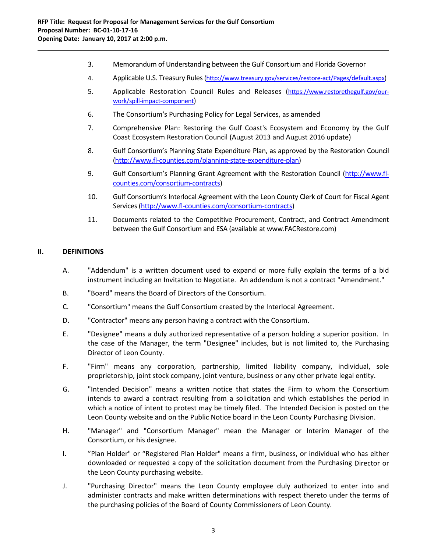3. Memorandum of Understanding between the Gulf Consortium and Florida Governor

- 4. Applicable U.S. Treasury Rules (http://www.treasury.gov/services/restore-act/Pages/default.aspx)
- 5. Applicable Restoration Council Rules and Releases (https://www.restorethegulf.gov/ourwork/spill‐impact‐component)
- 6. The Consortium's Purchasing Policy for Legal Services, as amended
- 7. Comprehensive Plan: Restoring the Gulf Coast's Ecosystem and Economy by the Gulf Coast Ecosystem Restoration Council (August 2013 and August 2016 update)
- 8. Gulf Consortium's Planning State Expenditure Plan, as approved by the Restoration Council (http://www.fl‐counties.com/planning‐state‐expenditure‐plan)
- 9. Gulf Consortium's Planning Grant Agreement with the Restoration Council (http://www.flcounties.com/consortium‐contracts)
- 10. Gulf Consortium's Interlocal Agreement with the Leon County Clerk of Court for Fiscal Agent Services (http://www.fl-counties.com/consortium-contracts)
- 11. Documents related to the Competitive Procurement, Contract, and Contract Amendment between the Gulf Consortium and ESA (available at www.FACRestore.com)

# **II. DEFINITIONS**

- A. "Addendum" is a written document used to expand or more fully explain the terms of a bid instrument including an Invitation to Negotiate. An addendum is not a contract "Amendment."
- B. "Board" means the Board of Directors of the Consortium.
- C. "Consortium" means the Gulf Consortium created by the Interlocal Agreement.
- D. "Contractor" means any person having a contract with the Consortium.
- E. "Designee" means a duly authorized representative of a person holding a superior position. In the case of the Manager, the term "Designee" includes, but is not limited to, the Purchasing Director of Leon County.
- F. "Firm" means any corporation, partnership, limited liability company, individual, sole proprietorship, joint stock company, joint venture, business or any other private legal entity.
- G. "Intended Decision" means a written notice that states the Firm to whom the Consortium intends to award a contract resulting from a solicitation and which establishes the period in which a notice of intent to protest may be timely filed. The Intended Decision is posted on the Leon County website and on the Public Notice board in the Leon County Purchasing Division.
- H. "Manager" and "Consortium Manager" mean the Manager or Interim Manager of the Consortium, or his designee.
- I. "Plan Holder" or "Registered Plan Holder" means a firm, business, or individual who has either downloaded or requested a copy of the solicitation document from the Purchasing Director or the Leon County purchasing website.
- J. "Purchasing Director" means the Leon County employee duly authorized to enter into and administer contracts and make written determinations with respect thereto under the terms of the purchasing policies of the Board of County Commissioners of Leon County.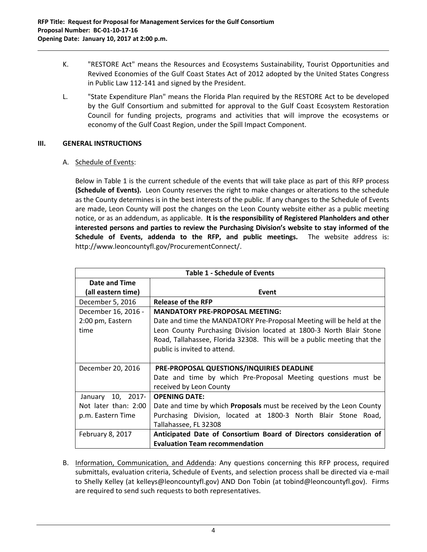K. "RESTORE Act" means the Resources and Ecosystems Sustainability, Tourist Opportunities and Revived Economies of the Gulf Coast States Act of 2012 adopted by the United States Congress in Public Law 112‐141 and signed by the President.

L. "State Expenditure Plan" means the Florida Plan required by the RESTORE Act to be developed by the Gulf Consortium and submitted for approval to the Gulf Coast Ecosystem Restoration Council for funding projects, programs and activities that will improve the ecosystems or economy of the Gulf Coast Region, under the Spill Impact Component.

# **III. GENERAL INSTRUCTIONS**

# A. Schedule of Events:

Below in Table 1 is the current schedule of the events that will take place as part of this RFP process **(Schedule of Events).** Leon County reserves the right to make changes or alterations to the schedule as the County determines is in the best interests of the public. If any changes to the Schedule of Events are made, Leon County will post the changes on the Leon County website either as a public meeting notice, or as an addendum, as applicable. **It is the responsibility of Registered Planholders and other interested persons and parties to review the Purchasing Division's website to stay informed of the Schedule of Events, addenda to the RFP, and public meetings.** The website address is: http://www.leoncountyfl.gov/ProcurementConnect/.

|                      | <b>Table 1 - Schedule of Events</b>                                         |  |
|----------------------|-----------------------------------------------------------------------------|--|
| Date and Time        |                                                                             |  |
| (all eastern time)   | Event                                                                       |  |
| December 5, 2016     | Release of the RFP                                                          |  |
| December 16, 2016 -  | <b>MANDATORY PRE-PROPOSAL MEETING:</b>                                      |  |
| 2:00 pm, Eastern     | Date and time the MANDATORY Pre-Proposal Meeting will be held at the        |  |
| time                 | Leon County Purchasing Division located at 1800-3 North Blair Stone         |  |
|                      | Road, Tallahassee, Florida 32308. This will be a public meeting that the    |  |
|                      | public is invited to attend.                                                |  |
|                      |                                                                             |  |
| December 20, 2016    | PRE-PROPOSAL QUESTIONS/INQUIRIES DEADLINE                                   |  |
|                      | Date and time by which Pre-Proposal Meeting questions must be               |  |
|                      | received by Leon County                                                     |  |
| January 10, 2017-    | <b>OPENING DATE:</b>                                                        |  |
| Not later than: 2:00 | Date and time by which <b>Proposals</b> must be received by the Leon County |  |
| p.m. Eastern Time    | Purchasing Division, located at 1800-3 North Blair Stone Road,              |  |
|                      | Tallahassee, FL 32308                                                       |  |
| February 8, 2017     | Anticipated Date of Consortium Board of Directors consideration of          |  |
|                      | <b>Evaluation Team recommendation</b>                                       |  |

B. Information, Communication, and Addenda: Any questions concerning this RFP process, required submittals, evaluation criteria, Schedule of Events, and selection process shall be directed via e‐mail to Shelly Kelley (at kelleys@leoncountyfl.gov) AND Don Tobin (at tobind@leoncountyfl.gov). Firms are required to send such requests to both representatives.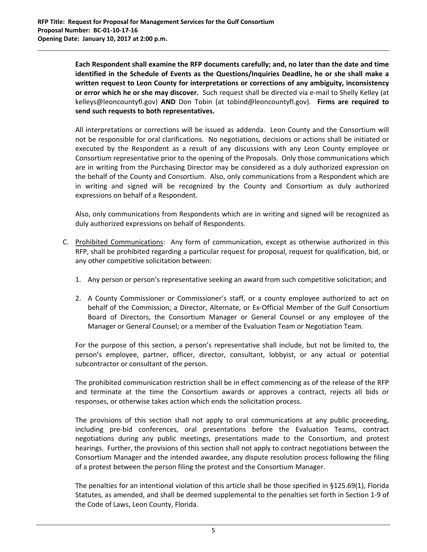**Each Respondent shall examine the RFP documents carefully; and, no later than the date and time identified in the Schedule of Events as the Questions/Inquiries Deadline, he or she shall make a written request to Leon County for interpretations or corrections of any ambiguity, inconsistency or error which he or she may discover.** Such request shall be directed via e‐mail to Shelly Kelley (at kelleys@leoncountyfl.gov) **AND** Don Tobin (at tobind@leoncountyfl.gov). **Firms are required to send such requests to both representatives.**

All interpretations or corrections will be issued as addenda. Leon County and the Consortium will not be responsible for oral clarifications. No negotiations, decisions or actions shall be initiated or executed by the Respondent as a result of any discussions with any Leon County employee or Consortium representative prior to the opening of the Proposals. Only those communications which are in writing from the Purchasing Director may be considered as a duly authorized expression on the behalf of the County and Consortium. Also, only communications from a Respondent which are in writing and signed will be recognized by the County and Consortium as duly authorized expressions on behalf of a Respondent.

Also, only communications from Respondents which are in writing and signed will be recognized as duly authorized expressions on behalf of Respondents.

- C. Prohibited Communications: Any form of communication, except as otherwise authorized in this RFP, shall be prohibited regarding a particular request for proposal, request for qualification, bid, or any other competitive solicitation between:
	- 1. Any person or person's representative seeking an award from such competitive solicitation; and
	- 2. A County Commissioner or Commissioner's staff, or a county employee authorized to act on behalf of the Commission; a Director, Alternate, or Ex‐Official Member of the Gulf Consortium Board of Directors, the Consortium Manager or General Counsel or any employee of the Manager or General Counsel; or a member of the Evaluation Team or Negotiation Team.

For the purpose of this section, a person's representative shall include, but not be limited to, the person's employee, partner, officer, director, consultant, lobbyist, or any actual or potential subcontractor or consultant of the person.

The prohibited communication restriction shall be in effect commencing as of the release of the RFP and terminate at the time the Consortium awards or approves a contract, rejects all bids or responses, or otherwise takes action which ends the solicitation process.

The provisions of this section shall not apply to oral communications at any public proceeding, including pre‐bid conferences, oral presentations before the Evaluation Teams, contract negotiations during any public meetings, presentations made to the Consortium, and protest hearings. Further, the provisions of this section shall not apply to contract negotiations between the Consortium Manager and the intended awardee, any dispute resolution process following the filing of a protest between the person filing the protest and the Consortium Manager.

The penalties for an intentional violation of this article shall be those specified in §125.69(1), Florida Statutes, as amended, and shall be deemed supplemental to the penalties set forth in Section 1‐9 of the Code of Laws, Leon County, Florida.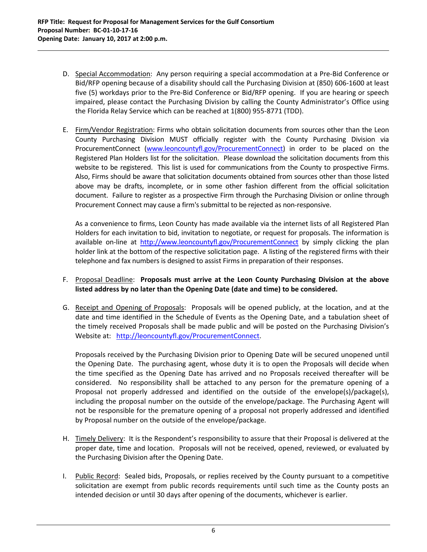D. Special Accommodation: Any person requiring a special accommodation at a Pre‐Bid Conference or Bid/RFP opening because of a disability should call the Purchasing Division at (850) 606‐1600 at least five (5) workdays prior to the Pre-Bid Conference or Bid/RFP opening. If you are hearing or speech impaired, please contact the Purchasing Division by calling the County Administrator's Office using the Florida Relay Service which can be reached at 1(800) 955‐8771 (TDD).

E. Firm/Vendor Registration: Firms who obtain solicitation documents from sources other than the Leon County Purchasing Division MUST officially register with the County Purchasing Division via ProcurementConnect (www.leoncountyfl.gov/ProcurementConnect) in order to be placed on the Registered Plan Holders list for the solicitation. Please download the solicitation documents from this website to be registered. This list is used for communications from the County to prospective Firms. Also, Firms should be aware that solicitation documents obtained from sources other than those listed above may be drafts, incomplete, or in some other fashion different from the official solicitation document. Failure to register as a prospective Firm through the Purchasing Division or online through Procurement Connect may cause a firm's submittal to be rejected as non‐responsive.

As a convenience to firms, Leon County has made available via the internet lists of all Registered Plan Holders for each invitation to bid, invitation to negotiate, or request for proposals. The information is available on-line at http://www.leoncountyfl.gov/ProcurementConnect by simply clicking the plan holder link at the bottom of the respective solicitation page. A listing of the registered firms with their telephone and fax numbers is designed to assist Firms in preparation of their responses.

# F. Proposal Deadline: **Proposals must arrive at the Leon County Purchasing Division at the above listed address by no later than the Opening Date (date and time) to be considered.**

G. Receipt and Opening of Proposals: Proposals will be opened publicly, at the location, and at the date and time identified in the Schedule of Events as the Opening Date, and a tabulation sheet of the timely received Proposals shall be made public and will be posted on the Purchasing Division's Website at: http://leoncountyfl.gov/ProcurementConnect.

Proposals received by the Purchasing Division prior to Opening Date will be secured unopened until the Opening Date. The purchasing agent, whose duty it is to open the Proposals will decide when the time specified as the Opening Date has arrived and no Proposals received thereafter will be considered. No responsibility shall be attached to any person for the premature opening of a Proposal not properly addressed and identified on the outside of the envelope(s)/package(s), including the proposal number on the outside of the envelope/package. The Purchasing Agent will not be responsible for the premature opening of a proposal not properly addressed and identified by Proposal number on the outside of the envelope/package.

- H. Timely Delivery: It is the Respondent's responsibility to assure that their Proposal is delivered at the proper date, time and location. Proposals will not be received, opened, reviewed, or evaluated by the Purchasing Division after the Opening Date.
- I. Public Record: Sealed bids, Proposals, or replies received by the County pursuant to a competitive solicitation are exempt from public records requirements until such time as the County posts an intended decision or until 30 days after opening of the documents, whichever is earlier.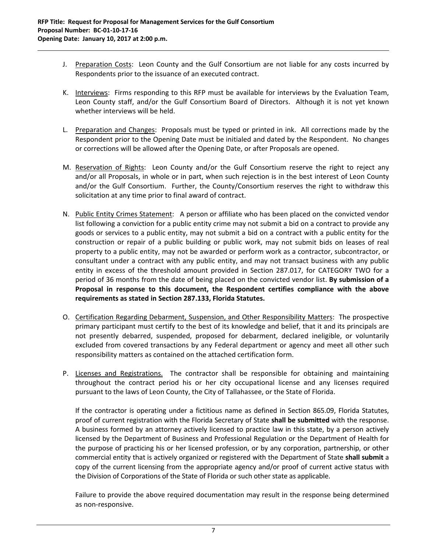J. Preparation Costs: Leon County and the Gulf Consortium are not liable for any costs incurred by Respondents prior to the issuance of an executed contract.

- K. Interviews: Firms responding to this RFP must be available for interviews by the Evaluation Team, Leon County staff, and/or the Gulf Consortium Board of Directors. Although it is not yet known whether interviews will be held.
- L. Preparation and Changes: Proposals must be typed or printed in ink. All corrections made by the Respondent prior to the Opening Date must be initialed and dated by the Respondent. No changes or corrections will be allowed after the Opening Date, or after Proposals are opened.
- M. Reservation of Rights: Leon County and/or the Gulf Consortium reserve the right to reject any and/or all Proposals, in whole or in part, when such rejection is in the best interest of Leon County and/or the Gulf Consortium. Further, the County/Consortium reserves the right to withdraw this solicitation at any time prior to final award of contract.
- N. Public Entity Crimes Statement: A person or affiliate who has been placed on the convicted vendor list following a conviction for a public entity crime may not submit a bid on a contract to provide any goods or services to a public entity, may not submit a bid on a contract with a public entity for the construction or repair of a public building or public work, may not submit bids on leases of real property to a public entity, may not be awarded or perform work as a contractor, subcontractor, or consultant under a contract with any public entity, and may not transact business with any public entity in excess of the threshold amount provided in Section 287.017, for CATEGORY TWO for a period of 36 months from the date of being placed on the convicted vendor list. **By submission of a Proposal in response to this document, the Respondent certifies compliance with the above requirements as stated in Section 287.133, Florida Statutes.**
- O. Certification Regarding Debarment, Suspension, and Other Responsibility Matters: The prospective primary participant must certify to the best of its knowledge and belief, that it and its principals are not presently debarred, suspended, proposed for debarment, declared ineligible, or voluntarily excluded from covered transactions by any Federal department or agency and meet all other such responsibility matters as contained on the attached certification form.
- P. Licenses and Registrations. The contractor shall be responsible for obtaining and maintaining throughout the contract period his or her city occupational license and any licenses required pursuant to the laws of Leon County, the City of Tallahassee, or the State of Florida.

If the contractor is operating under a fictitious name as defined in Section 865.09, Florida Statutes, proof of current registration with the Florida Secretary of State **shall be submitted** with the response. A business formed by an attorney actively licensed to practice law in this state, by a person actively licensed by the Department of Business and Professional Regulation or the Department of Health for the purpose of practicing his or her licensed profession, or by any corporation, partnership, or other commercial entity that is actively organized or registered with the Department of State **shall submit** a copy of the current licensing from the appropriate agency and/or proof of current active status with the Division of Corporations of the State of Florida or such other state as applicable.

Failure to provide the above required documentation may result in the response being determined as non‐responsive.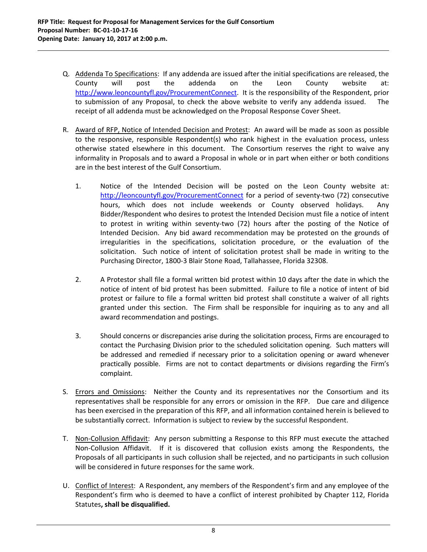Q. Addenda To Specifications: If any addenda are issued after the initial specifications are released, the County will post the addenda on the Leon County website at: http://www.leoncountyfl.gov/ProcurementConnect. It is the responsibility of the Respondent, prior to submission of any Proposal, to check the above website to verify any addenda issued. The receipt of all addenda must be acknowledged on the Proposal Response Cover Sheet.

- R. Award of RFP, Notice of Intended Decision and Protest: An award will be made as soon as possible to the responsive, responsible Respondent(s) who rank highest in the evaluation process, unless otherwise stated elsewhere in this document. The Consortium reserves the right to waive any informality in Proposals and to award a Proposal in whole or in part when either or both conditions are in the best interest of the Gulf Consortium.
	- 1. Notice of the Intended Decision will be posted on the Leon County website at: http://leoncountyfl.gov/ProcurementConnect for a period of seventy-two (72) consecutive hours, which does not include weekends or County observed holidays. Any Bidder/Respondent who desires to protest the Intended Decision must file a notice of intent to protest in writing within seventy‐two (72) hours after the posting of the Notice of Intended Decision. Any bid award recommendation may be protested on the grounds of irregularities in the specifications, solicitation procedure, or the evaluation of the solicitation. Such notice of intent of solicitation protest shall be made in writing to the Purchasing Director, 1800‐3 Blair Stone Road, Tallahassee, Florida 32308.
	- 2. A Protestor shall file a formal written bid protest within 10 days after the date in which the notice of intent of bid protest has been submitted. Failure to file a notice of intent of bid protest or failure to file a formal written bid protest shall constitute a waiver of all rights granted under this section. The Firm shall be responsible for inquiring as to any and all award recommendation and postings.
	- 3. Should concerns or discrepancies arise during the solicitation process, Firms are encouraged to contact the Purchasing Division prior to the scheduled solicitation opening. Such matters will be addressed and remedied if necessary prior to a solicitation opening or award whenever practically possible. Firms are not to contact departments or divisions regarding the Firm's complaint.
- S. Errors and Omissions: Neither the County and its representatives nor the Consortium and its representatives shall be responsible for any errors or omission in the RFP. Due care and diligence has been exercised in the preparation of this RFP, and all information contained herein is believed to be substantially correct. Information is subject to review by the successful Respondent.
- T. Non-Collusion Affidavit: Any person submitting a Response to this RFP must execute the attached Non-Collusion Affidavit. If it is discovered that collusion exists among the Respondents, the Proposals of all participants in such collusion shall be rejected, and no participants in such collusion will be considered in future responses for the same work.
- U. Conflict of Interest: A Respondent, any members of the Respondent's firm and any employee of the Respondent's firm who is deemed to have a conflict of interest prohibited by Chapter 112, Florida Statutes**, shall be disqualified.**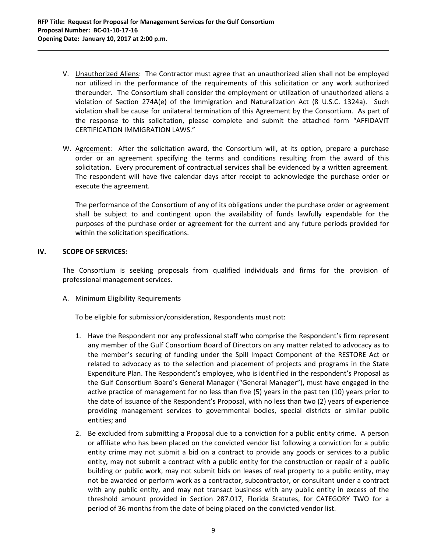V. Unauthorized Aliens: The Contractor must agree that an unauthorized alien shall not be employed nor utilized in the performance of the requirements of this solicitation or any work authorized thereunder. The Consortium shall consider the employment or utilization of unauthorized aliens a violation of Section 274A(e) of the Immigration and Naturalization Act (8 U.S.C. 1324a). Such violation shall be cause for unilateral termination of this Agreement by the Consortium. As part of the response to this solicitation, please complete and submit the attached form "AFFIDAVIT CERTIFICATION IMMIGRATION LAWS."

W. Agreement: After the solicitation award, the Consortium will, at its option, prepare a purchase order or an agreement specifying the terms and conditions resulting from the award of this solicitation. Every procurement of contractual services shall be evidenced by a written agreement. The respondent will have five calendar days after receipt to acknowledge the purchase order or execute the agreement.

The performance of the Consortium of any of its obligations under the purchase order or agreement shall be subject to and contingent upon the availability of funds lawfully expendable for the purposes of the purchase order or agreement for the current and any future periods provided for within the solicitation specifications.

# **IV. SCOPE OF SERVICES:**

The Consortium is seeking proposals from qualified individuals and firms for the provision of professional management services.

# A. Minimum Eligibility Requirements

To be eligible for submission/consideration, Respondents must not:

- 1. Have the Respondent nor any professional staff who comprise the Respondent's firm represent any member of the Gulf Consortium Board of Directors on any matter related to advocacy as to the member's securing of funding under the Spill Impact Component of the RESTORE Act or related to advocacy as to the selection and placement of projects and programs in the State Expenditure Plan. The Respondent's employee, who is identified in the respondent's Proposal as the Gulf Consortium Board's General Manager ("General Manager"), must have engaged in the active practice of management for no less than five (5) years in the past ten (10) years prior to the date of issuance of the Respondent's Proposal, with no less than two (2) years of experience providing management services to governmental bodies, special districts or similar public entities; and
- 2. Be excluded from submitting a Proposal due to a conviction for a public entity crime. A person or affiliate who has been placed on the convicted vendor list following a conviction for a public entity crime may not submit a bid on a contract to provide any goods or services to a public entity, may not submit a contract with a public entity for the construction or repair of a public building or public work, may not submit bids on leases of real property to a public entity, may not be awarded or perform work as a contractor, subcontractor, or consultant under a contract with any public entity, and may not transact business with any public entity in excess of the threshold amount provided in Section 287.017, Florida Statutes, for CATEGORY TWO for a period of 36 months from the date of being placed on the convicted vendor list.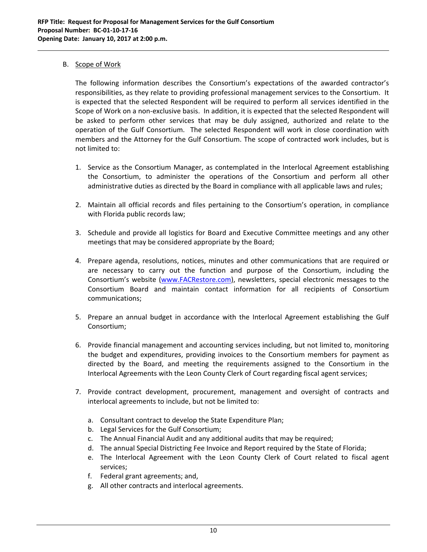# B. Scope of Work

The following information describes the Consortium's expectations of the awarded contractor's responsibilities, as they relate to providing professional management services to the Consortium. It is expected that the selected Respondent will be required to perform all services identified in the Scope of Work on a non‐exclusive basis. In addition, it is expected that the selected Respondent will be asked to perform other services that may be duly assigned, authorized and relate to the operation of the Gulf Consortium. The selected Respondent will work in close coordination with members and the Attorney for the Gulf Consortium. The scope of contracted work includes, but is not limited to:

- 1. Service as the Consortium Manager, as contemplated in the Interlocal Agreement establishing the Consortium, to administer the operations of the Consortium and perform all other administrative duties as directed by the Board in compliance with all applicable laws and rules;
- 2. Maintain all official records and files pertaining to the Consortium's operation, in compliance with Florida public records law;
- 3. Schedule and provide all logistics for Board and Executive Committee meetings and any other meetings that may be considered appropriate by the Board;
- 4. Prepare agenda, resolutions, notices, minutes and other communications that are required or are necessary to carry out the function and purpose of the Consortium, including the Consortium's website (www.FACRestore.com), newsletters, special electronic messages to the Consortium Board and maintain contact information for all recipients of Consortium communications;
- 5. Prepare an annual budget in accordance with the Interlocal Agreement establishing the Gulf Consortium;
- 6. Provide financial management and accounting services including, but not limited to, monitoring the budget and expenditures, providing invoices to the Consortium members for payment as directed by the Board, and meeting the requirements assigned to the Consortium in the Interlocal Agreements with the Leon County Clerk of Court regarding fiscal agent services;
- 7. Provide contract development, procurement, management and oversight of contracts and interlocal agreements to include, but not be limited to:
	- a. Consultant contract to develop the State Expenditure Plan;
	- b. Legal Services for the Gulf Consortium;
	- c. The Annual Financial Audit and any additional audits that may be required;
	- d. The annual Special Districting Fee Invoice and Report required by the State of Florida;
	- e. The Interlocal Agreement with the Leon County Clerk of Court related to fiscal agent services;
	- f. Federal grant agreements; and,
	- g. All other contracts and interlocal agreements.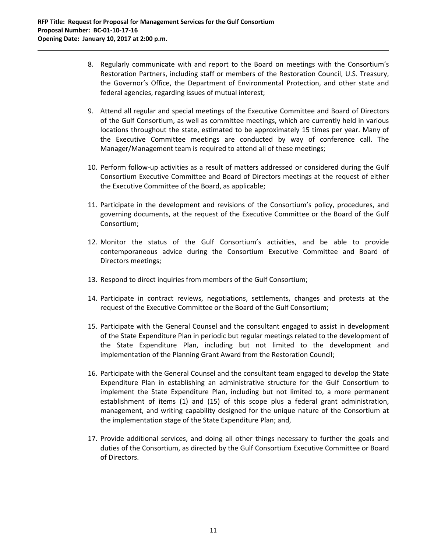8. Regularly communicate with and report to the Board on meetings with the Consortium's Restoration Partners, including staff or members of the Restoration Council, U.S. Treasury, the Governor's Office, the Department of Environmental Protection, and other state and federal agencies, regarding issues of mutual interest;

- 9. Attend all regular and special meetings of the Executive Committee and Board of Directors of the Gulf Consortium, as well as committee meetings, which are currently held in various locations throughout the state, estimated to be approximately 15 times per year. Many of the Executive Committee meetings are conducted by way of conference call. The Manager/Management team is required to attend all of these meetings;
- 10. Perform follow‐up activities as a result of matters addressed or considered during the Gulf Consortium Executive Committee and Board of Directors meetings at the request of either the Executive Committee of the Board, as applicable;
- 11. Participate in the development and revisions of the Consortium's policy, procedures, and governing documents, at the request of the Executive Committee or the Board of the Gulf Consortium;
- 12. Monitor the status of the Gulf Consortium's activities, and be able to provide contemporaneous advice during the Consortium Executive Committee and Board of Directors meetings;
- 13. Respond to direct inquiries from members of the Gulf Consortium;
- 14. Participate in contract reviews, negotiations, settlements, changes and protests at the request of the Executive Committee or the Board of the Gulf Consortium;
- 15. Participate with the General Counsel and the consultant engaged to assist in development of the State Expenditure Plan in periodic but regular meetings related to the development of the State Expenditure Plan, including but not limited to the development and implementation of the Planning Grant Award from the Restoration Council;
- 16. Participate with the General Counsel and the consultant team engaged to develop the State Expenditure Plan in establishing an administrative structure for the Gulf Consortium to implement the State Expenditure Plan, including but not limited to, a more permanent establishment of items (1) and (15) of this scope plus a federal grant administration, management, and writing capability designed for the unique nature of the Consortium at the implementation stage of the State Expenditure Plan; and,
- 17. Provide additional services, and doing all other things necessary to further the goals and duties of the Consortium, as directed by the Gulf Consortium Executive Committee or Board of Directors.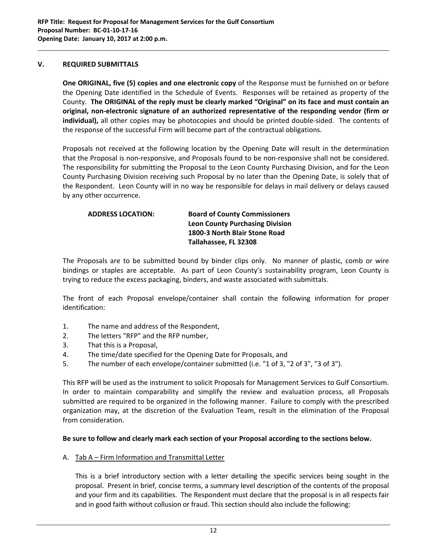### **V. REQUIRED SUBMITTALS**

**One ORIGINAL, five (5) copies and one electronic copy** of the Response must be furnished on or before the Opening Date identified in the Schedule of Events.Responses will be retained as property of the County. The ORIGINAL of the reply must be clearly marked "Original" on its face and must contain an **original, non‐electronic signature of an authorized representative of the responding vendor (firm or** individual), all other copies may be photocopies and should be printed double-sided. The contents of the response of the successful Firm will become part of the contractual obligations.

Proposals not received at the following location by the Opening Date will result in the determination that the Proposal is non‐responsive, and Proposals found to be non‐responsive shall not be considered. The responsibility for submitting the Proposal to the Leon County Purchasing Division, and for the Leon County Purchasing Division receiving such Proposal by no later than the Opening Date, is solely that of the Respondent. Leon County will in no way be responsible for delays in mail delivery or delays caused by any other occurrence.

# **ADDRESS LOCATION: Board of County Commissioners Leon County Purchasing Division 1800‐3 North Blair Stone Road Tallahassee, FL 32308**

The Proposals are to be submitted bound by binder clips only. No manner of plastic, comb or wire bindings or staples are acceptable. As part of Leon County's sustainability program, Leon County is trying to reduce the excess packaging, binders, and waste associated with submittals.

The front of each Proposal envelope/container shall contain the following information for proper identification:

- 1. The name and address of the Respondent,
- 2. The letters "RFP" and the RFP number,
- 3. That this is a Proposal,
- 4. The time/date specified for the Opening Date for Proposals, and
- 5. The number of each envelope/container submitted (i.e. "1 of 3, "2 of 3", "3 of 3").

This RFP will be used as the instrument to solicit Proposals for Management Services to Gulf Consortium. In order to maintain comparability and simplify the review and evaluation process, all Proposals submitted are required to be organized in the following manner. Failure to comply with the prescribed organization may, at the discretion of the Evaluation Team, result in the elimination of the Proposal from consideration.

# Be sure to follow and clearly mark each section of your Proposal according to the sections below.

A. Tab A - Firm Information and Transmittal Letter

This is a brief introductory section with a letter detailing the specific services being sought in the proposal. Present in brief, concise terms, a summary level description of the contents of the proposal and your firm and its capabilities. The Respondent must declare that the proposal is in all respects fair and in good faith without collusion or fraud. This section should also include the following: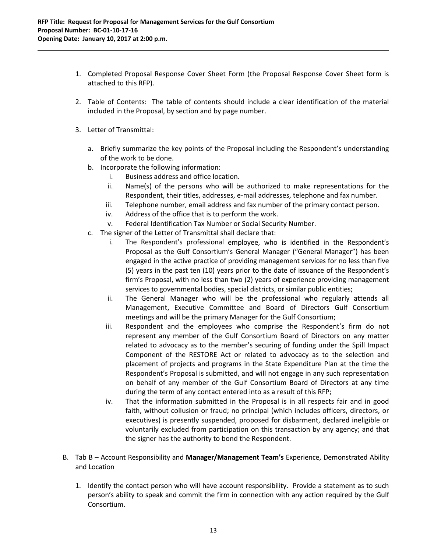1. Completed Proposal Response Cover Sheet Form (the Proposal Response Cover Sheet form is attached to this RFP).

- 2. Table of Contents: The table of contents should include a clear identification of the material included in the Proposal, by section and by page number.
- 3. Letter of Transmittal:
	- a. Briefly summarize the key points of the Proposal including the Respondent's understanding of the work to be done.
	- b. Incorporate the following information:
		- i. Business address and office location.
		- ii. Name(s) of the persons who will be authorized to make representations for the Respondent, their titles, addresses, e‐mail addresses, telephone and fax number.
		- iii. Telephone number, email address and fax number of the primary contact person.
		- iv. Address of the office that is to perform the work.
		- v. Federal Identification Tax Number or Social Security Number.
	- c. The signer of the Letter of Transmittal shall declare that:
		- i. The Respondent's professional employee, who is identified in the Respondent's Proposal as the Gulf Consortium's General Manager ("General Manager") has been engaged in the active practice of providing management services for no less than five (5) years in the past ten (10) years prior to the date of issuance of the Respondent's firm's Proposal, with no less than two (2) years of experience providing management services to governmental bodies, special districts, or similar public entities;
		- ii. The General Manager who will be the professional who regularly attends all Management, Executive Committee and Board of Directors Gulf Consortium meetings and will be the primary Manager for the Gulf Consortium;
		- iii. Respondent and the employees who comprise the Respondent's firm do not represent any member of the Gulf Consortium Board of Directors on any matter related to advocacy as to the member's securing of funding under the Spill Impact Component of the RESTORE Act or related to advocacy as to the selection and placement of projects and programs in the State Expenditure Plan at the time the Respondent's Proposal is submitted, and will not engage in any such representation on behalf of any member of the Gulf Consortium Board of Directors at any time during the term of any contact entered into as a result of this RFP;
		- iv. That the information submitted in the Proposal is in all respects fair and in good faith, without collusion or fraud; no principal (which includes officers, directors, or executives) is presently suspended, proposed for disbarment, declared ineligible or voluntarily excluded from participation on this transaction by any agency; and that the signer has the authority to bond the Respondent.
- B. Tab B Account Responsibility and **Manager/Management Team's** Experience, Demonstrated Ability and Location
	- 1. Identify the contact person who will have account responsibility. Provide a statement as to such person's ability to speak and commit the firm in connection with any action required by the Gulf Consortium.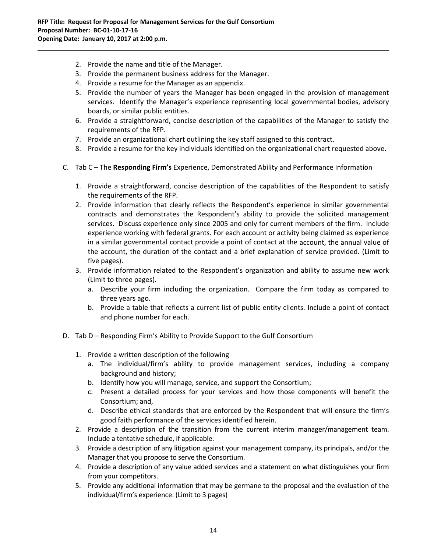- 2. Provide the name and title of the Manager.
- 3. Provide the permanent business address for the Manager.
- 4. Provide a resume for the Manager as an appendix.
- 5. Provide the number of years the Manager has been engaged in the provision of management services. Identify the Manager's experience representing local governmental bodies, advisory boards, or similar public entities.
- 6. Provide a straightforward, concise description of the capabilities of the Manager to satisfy the requirements of the RFP.
- 7. Provide an organizational chart outlining the key staff assigned to this contract.

- 8. Provide a resume for the key individuals identified on the organizational chart requested above.
- C. Tab C The **Responding Firm's** Experience, Demonstrated Ability and Performance Information
	- 1. Provide a straightforward, concise description of the capabilities of the Respondent to satisfy the requirements of the RFP.
	- 2. Provide information that clearly reflects the Respondent's experience in similar governmental contracts and demonstrates the Respondent's ability to provide the solicited management services. Discuss experience only since 2005 and only for current members of the firm. Include experience working with federal grants. For each account or activity being claimed as experience in a similar governmental contact provide a point of contact at the account, the annual value of the account, the duration of the contact and a brief explanation of service provided. (Limit to five pages).
	- 3. Provide information related to the Respondent's organization and ability to assume new work (Limit to three pages).
		- a. Describe your firm including the organization. Compare the firm today as compared to three years ago.
		- b. Provide a table that reflects a current list of public entity clients. Include a point of contact and phone number for each.
- D. Tab D Responding Firm's Ability to Provide Support to the Gulf Consortium
	- 1. Provide a written description of the following
		- a. The individual/firm's ability to provide management services, including a company background and history;
		- b. Identify how you will manage, service, and support the Consortium;
		- c. Present a detailed process for your services and how those components will benefit the Consortium; and,
		- d. Describe ethical standards that are enforced by the Respondent that will ensure the firm's good faith performance of the services identified herein.
	- 2. Provide a description of the transition from the current interim manager/management team. Include a tentative schedule, if applicable.
	- 3. Provide a description of any litigation against your management company, its principals, and/or the Manager that you propose to serve the Consortium.
	- 4. Provide a description of any value added services and a statement on what distinguishes your firm from your competitors.
	- 5. Provide any additional information that may be germane to the proposal and the evaluation of the individual/firm's experience. (Limit to 3 pages)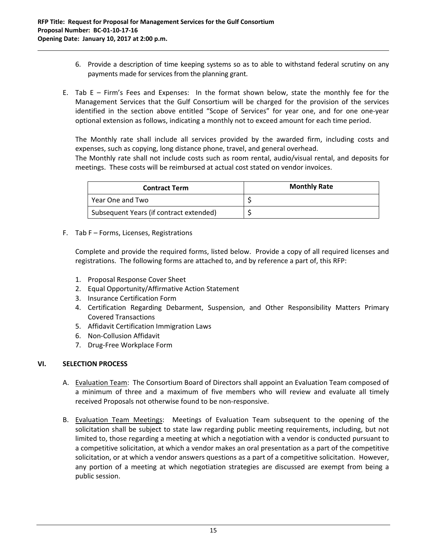6. Provide a description of time keeping systems so as to able to withstand federal scrutiny on any payments made for services from the planning grant.

E. Tab  $E - Firm's$  Fees and Expenses: In the format shown below, state the monthly fee for the Management Services that the Gulf Consortium will be charged for the provision of the services identified in the section above entitled "Scope of Services" for year one, and for one one-year optional extension as follows, indicating a monthly not to exceed amount for each time period.

The Monthly rate shall include all services provided by the awarded firm, including costs and expenses, such as copying, long distance phone, travel, and general overhead.

The Monthly rate shall not include costs such as room rental, audio/visual rental, and deposits for meetings. These costs will be reimbursed at actual cost stated on vendor invoices.

| <b>Contract Term</b>                    | <b>Monthly Rate</b> |
|-----------------------------------------|---------------------|
| Year One and Two                        |                     |
| Subsequent Years (if contract extended) |                     |

F. Tab F – Forms, Licenses, Registrations

Complete and provide the required forms, listed below. Provide a copy of all required licenses and registrations. The following forms are attached to, and by reference a part of, this RFP:

- 1. Proposal Response Cover Sheet
- 2. Equal Opportunity/Affirmative Action Statement
- 3. Insurance Certification Form
- 4. Certification Regarding Debarment, Suspension, and Other Responsibility Matters Primary Covered Transactions
- 5. Affidavit Certification Immigration Laws
- 6. Non‐Collusion Affidavit
- 7. Drug‐Free Workplace Form

# **VI. SELECTION PROCESS**

- A. Evaluation Team: The Consortium Board of Directors shall appoint an Evaluation Team composed of a minimum of three and a maximum of five members who will review and evaluate all timely received Proposals not otherwise found to be non‐responsive.
- B. Evaluation Team Meetings: Meetings of Evaluation Team subsequent to the opening of the solicitation shall be subject to state law regarding public meeting requirements, including, but not limited to, those regarding a meeting at which a negotiation with a vendor is conducted pursuant to a competitive solicitation, at which a vendor makes an oral presentation as a part of the competitive solicitation, or at which a vendor answers questions as a part of a competitive solicitation. However, any portion of a meeting at which negotiation strategies are discussed are exempt from being a public session.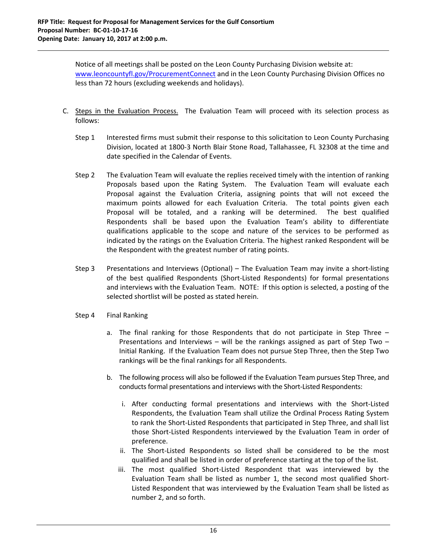Notice of all meetings shall be posted on the Leon County Purchasing Division website at: www.leoncountyfl.gov/ProcurementConnect and in the Leon County Purchasing Division Offices no less than 72 hours (excluding weekends and holidays).

- C. Steps in the Evaluation Process. The Evaluation Team will proceed with its selection process as follows:
	- Step 1 Interested firms must submit their response to this solicitation to Leon County Purchasing Division, located at 1800‐3 North Blair Stone Road, Tallahassee, FL 32308 at the time and date specified in the Calendar of Events.
	- Step 2 The Evaluation Team will evaluate the replies received timely with the intention of ranking Proposals based upon the Rating System. The Evaluation Team will evaluate each Proposal against the Evaluation Criteria, assigning points that will not exceed the maximum points allowed for each Evaluation Criteria. The total points given each Proposal will be totaled, and a ranking will be determined. The best qualified Respondents shall be based upon the Evaluation Team's ability to differentiate qualifications applicable to the scope and nature of the services to be performed as indicated by the ratings on the Evaluation Criteria. The highest ranked Respondent will be the Respondent with the greatest number of rating points.
	- Step 3 Presentations and Interviews (Optional) The Evaluation Team may invite a short-listing of the best qualified Respondents (Short‐Listed Respondents) for formal presentations and interviews with the Evaluation Team. NOTE: If this option is selected, a posting of the selected shortlist will be posted as stated herein.
	- Step 4 Final Ranking
		- a. The final ranking for those Respondents that do not participate in Step Three Presentations and Interviews – will be the rankings assigned as part of Step Two – Initial Ranking. If the Evaluation Team does not pursue Step Three, then the Step Two rankings will be the final rankings for all Respondents.
		- b. The following process will also be followed if the Evaluation Team pursues Step Three, and conducts formal presentations and interviews with the Short‐Listed Respondents:
			- i. After conducting formal presentations and interviews with the Short‐Listed Respondents, the Evaluation Team shall utilize the Ordinal Process Rating System to rank the Short‐Listed Respondents that participated in Step Three, and shall list those Short‐Listed Respondents interviewed by the Evaluation Team in order of preference.
			- ii. The Short‐Listed Respondents so listed shall be considered to be the most qualified and shall be listed in order of preference starting at the top of the list.
			- iii. The most qualified Short-Listed Respondent that was interviewed by the Evaluation Team shall be listed as number 1, the second most qualified Short‐ Listed Respondent that was interviewed by the Evaluation Team shall be listed as number 2, and so forth.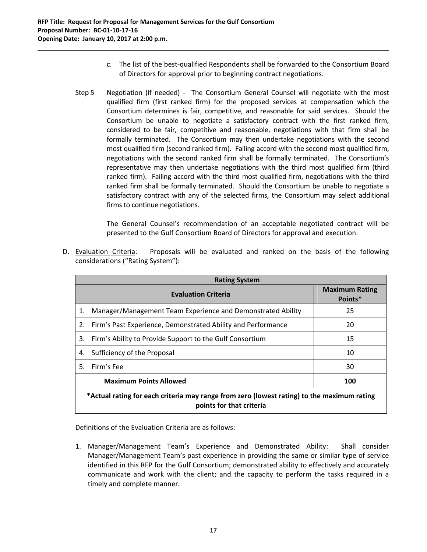c. The list of the best‐qualified Respondents shall be forwarded to the Consortium Board of Directors for approval prior to beginning contract negotiations.

Step 5 Negotiation (if needed) - The Consortium General Counsel will negotiate with the most qualified firm (first ranked firm) for the proposed services at compensation which the Consortium determines is fair, competitive, and reasonable for said services. Should the Consortium be unable to negotiate a satisfactory contract with the first ranked firm, considered to be fair, competitive and reasonable, negotiations with that firm shall be formally terminated. The Consortium may then undertake negotiations with the second most qualified firm (second ranked firm). Failing accord with the second most qualified firm, negotiations with the second ranked firm shall be formally terminated. The Consortium's representative may then undertake negotiations with the third most qualified firm (third ranked firm). Failing accord with the third most qualified firm, negotiations with the third ranked firm shall be formally terminated. Should the Consortium be unable to negotiate a satisfactory contract with any of the selected firms, the Consortium may select additional firms to continue negotiations.

The General Counsel's recommendation of an acceptable negotiated contract will be presented to the Gulf Consortium Board of Directors for approval and execution.

D. Evaluation Criteria: Proposals will be evaluated and ranked on the basis of the following considerations ("Rating System"):

|    | <b>Rating System</b>                                                                                                   |                                  |
|----|------------------------------------------------------------------------------------------------------------------------|----------------------------------|
|    | <b>Evaluation Criteria</b>                                                                                             | <b>Maximum Rating</b><br>Points* |
| 1. | Manager/Management Team Experience and Demonstrated Ability                                                            | 25                               |
|    | 2. Firm's Past Experience, Demonstrated Ability and Performance                                                        | 20                               |
| 3. | Firm's Ability to Provide Support to the Gulf Consortium                                                               | 15                               |
| 4. | Sufficiency of the Proposal                                                                                            | 10                               |
| 5. | Firm's Fee                                                                                                             | 30                               |
|    | <b>Maximum Points Allowed</b>                                                                                          | 100                              |
|    | *Actual rating for each criteria may range from zero (lowest rating) to the maximum rating<br>points for that criteria |                                  |

Definitions of the Evaluation Criteria are as follows:

1. Manager/Management Team's Experience and Demonstrated Ability: Shall consider Manager/Management Team's past experience in providing the same or similar type of service identified in this RFP for the Gulf Consortium; demonstrated ability to effectively and accurately communicate and work with the client; and the capacity to perform the tasks required in a timely and complete manner.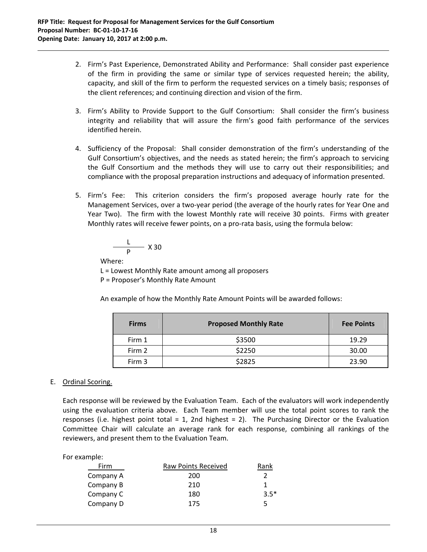2. Firm's Past Experience, Demonstrated Ability and Performance: Shall consider past experience of the firm in providing the same or similar type of services requested herein; the ability, capacity, and skill of the firm to perform the requested services on a timely basis; responses of the client references; and continuing direction and vision of the firm.

- 3. Firm's Ability to Provide Support to the Gulf Consortium: Shall consider the firm's business integrity and reliability that will assure the firm's good faith performance of the services identified herein.
- 4. Sufficiency of the Proposal: Shall consider demonstration of the firm's understanding of the Gulf Consortium's objectives, and the needs as stated herein; the firm's approach to servicing the Gulf Consortium and the methods they will use to carry out their responsibilities; and compliance with the proposal preparation instructions and adequacy of information presented.
- 5. Firm's Fee: This criterion considers the firm's proposed average hourly rate for the Management Services, over a two‐year period (the average of the hourly rates for Year One and Year Two). The firm with the lowest Monthly rate will receive 30 points. Firms with greater Monthly rates will receive fewer points, on a pro-rata basis, using the formula below:

$$
\frac{L}{P} \times 30
$$

Where:

L = Lowest Monthly Rate amount among all proposers

P = Proposer's Monthly Rate Amount

An example of how the Monthly Rate Amount Points will be awarded follows:

| <b>Firms</b> | <b>Proposed Monthly Rate</b> | <b>Fee Points</b> |
|--------------|------------------------------|-------------------|
| Firm 1       | \$3500                       | 19.29             |
| Firm 2       | \$2250                       | 30.00             |
| Firm 3       | \$2825                       | 23.90             |

# E. Ordinal Scoring.

Each response will be reviewed by the Evaluation Team. Each of the evaluators will work independently using the evaluation criteria above. Each Team member will use the total point scores to rank the responses (i.e. highest point total  $= 1$ , 2nd highest  $= 2$ ). The Purchasing Director or the Evaluation Committee Chair will calculate an average rank for each response, combining all rankings of the reviewers, and present them to the Evaluation Team.

| Firm      | Raw Points Received | Rank   |
|-----------|---------------------|--------|
| Company A | 200                 |        |
| Company B | 210                 |        |
| Company C | 180                 | $3.5*$ |
| Company D | 175                 | 5      |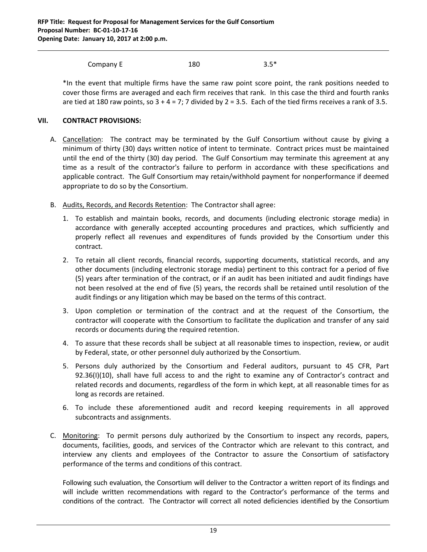Company E  $180$   $3.5*$ 

\*In the event that multiple firms have the same raw point score point, the rank positions needed to cover those firms are averaged and each firm receives that rank. In this case the third and fourth ranks are tied at 180 raw points, so  $3 + 4 = 7$ ; 7 divided by  $2 = 3.5$ . Each of the tied firms receives a rank of 3.5.

# **VII. CONTRACT PROVISIONS:**

- A. Cancellation: The contract may be terminated by the Gulf Consortium without cause by giving a minimum of thirty (30) days written notice of intent to terminate. Contract prices must be maintained until the end of the thirty (30) day period. The Gulf Consortium may terminate this agreement at any time as a result of the contractor's failure to perform in accordance with these specifications and applicable contract. The Gulf Consortium may retain/withhold payment for nonperformance if deemed appropriate to do so by the Consortium.
- B. Audits, Records, and Records Retention: The Contractor shall agree:
	- 1. To establish and maintain books, records, and documents (including electronic storage media) in accordance with generally accepted accounting procedures and practices, which sufficiently and properly reflect all revenues and expenditures of funds provided by the Consortium under this contract.
	- 2. To retain all client records, financial records, supporting documents, statistical records, and any other documents (including electronic storage media) pertinent to this contract for a period of five (5) years after termination of the contract, or if an audit has been initiated and audit findings have not been resolved at the end of five (5) years, the records shall be retained until resolution of the audit findings or any litigation which may be based on the terms of this contract.
	- 3. Upon completion or termination of the contract and at the request of the Consortium, the contractor will cooperate with the Consortium to facilitate the duplication and transfer of any said records or documents during the required retention.
	- 4. To assure that these records shall be subject at all reasonable times to inspection, review, or audit by Federal, state, or other personnel duly authorized by the Consortium.
	- 5. Persons duly authorized by the Consortium and Federal auditors, pursuant to 45 CFR, Part 92.36(I)(10), shall have full access to and the right to examine any of Contractor's contract and related records and documents, regardless of the form in which kept, at all reasonable times for as long as records are retained.
	- 6. To include these aforementioned audit and record keeping requirements in all approved subcontracts and assignments.
- C. Monitoring: To permit persons duly authorized by the Consortium to inspect any records, papers, documents, facilities, goods, and services of the Contractor which are relevant to this contract, and interview any clients and employees of the Contractor to assure the Consortium of satisfactory performance of the terms and conditions of this contract.

Following such evaluation, the Consortium will deliver to the Contractor a written report of its findings and will include written recommendations with regard to the Contractor's performance of the terms and conditions of the contract. The Contractor will correct all noted deficiencies identified by the Consortium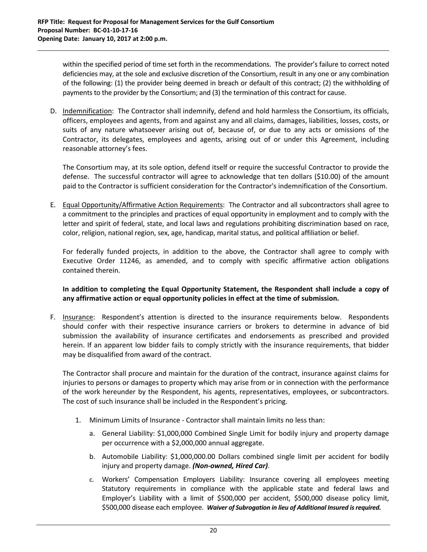within the specified period of time set forth in the recommendations. The provider's failure to correct noted deficiencies may, at the sole and exclusive discretion of the Consortium, result in any one or any combination of the following: (1) the provider being deemed in breach or default of this contract; (2) the withholding of payments to the provider by the Consortium; and (3) the termination of this contract for cause.

D. Indemnification: The Contractor shall indemnify, defend and hold harmless the Consortium, its officials, officers, employees and agents, from and against any and all claims, damages, liabilities, losses, costs, or suits of any nature whatsoever arising out of, because of, or due to any acts or omissions of the Contractor, its delegates, employees and agents, arising out of or under this Agreement, including reasonable attorney's fees.

The Consortium may, at its sole option, defend itself or require the successful Contractor to provide the defense. The successful contractor will agree to acknowledge that ten dollars (\$10.00) of the amount paid to the Contractor is sufficient consideration for the Contractor's indemnification of the Consortium.

E. Equal Opportunity/Affirmative Action Requirements: The Contractor and all subcontractors shall agree to a commitment to the principles and practices of equal opportunity in employment and to comply with the letter and spirit of federal, state, and local laws and regulations prohibiting discrimination based on race, color, religion, national region, sex, age, handicap, marital status, and political affiliation or belief.

For federally funded projects, in addition to the above, the Contractor shall agree to comply with Executive Order 11246, as amended, and to comply with specific affirmative action obligations contained therein.

# **In addition to completing the Equal Opportunity Statement, the Respondent shall include a copy of any affirmative action or equal opportunity policies in effect at the time of submission.**

F. Insurance: Respondent's attention is directed to the insurance requirements below. Respondents should confer with their respective insurance carriers or brokers to determine in advance of bid submission the availability of insurance certificates and endorsements as prescribed and provided herein. If an apparent low bidder fails to comply strictly with the insurance requirements, that bidder may be disqualified from award of the contract.

The Contractor shall procure and maintain for the duration of the contract, insurance against claims for injuries to persons or damages to property which may arise from or in connection with the performance of the work hereunder by the Respondent, his agents, representatives, employees, or subcontractors. The cost of such insurance shall be included in the Respondent's pricing.

- 1. Minimum Limits of Insurance ‐ Contractor shall maintain limits no less than:
	- a. General Liability: \$1,000,000 Combined Single Limit for bodily injury and property damage per occurrence with a \$2,000,000 annual aggregate.
	- b. Automobile Liability: \$1,000,000.00 Dollars combined single limit per accident for bodily injury and property damage. *(Non‐owned, Hired Car)*.
	- c. Workers' Compensation Employers Liability: Insurance covering all employees meeting Statutory requirements in compliance with the applicable state and federal laws and Employer's Liability with a limit of \$500,000 per accident, \$500,000 disease policy limit, \$500,000 disease each employee. *Waiver of Subrogation in lieu of Additional Insured isrequired.*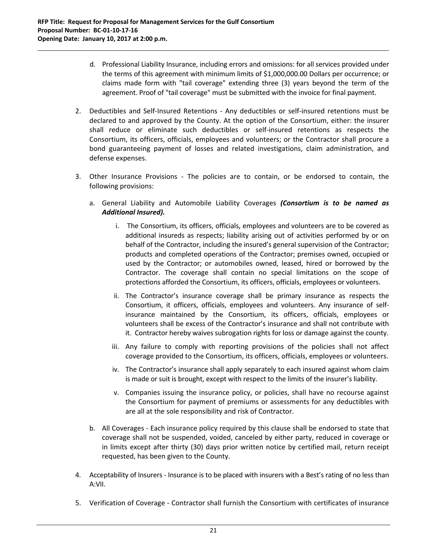d. Professional Liability Insurance, including errors and omissions: for all services provided under the terms of this agreement with minimum limits of \$1,000,000.00 Dollars per occurrence; or claims made form with "tail coverage" extending three (3) years beyond the term of the agreement. Proof of "tail coverage" must be submitted with the invoice for final payment.

- 2. Deductibles and Self-Insured Retentions Any deductibles or self-insured retentions must be declared to and approved by the County. At the option of the Consortium, either: the insurer shall reduce or eliminate such deductibles or self‐insured retentions as respects the Consortium, its officers, officials, employees and volunteers; or the Contractor shall procure a bond guaranteeing payment of losses and related investigations, claim administration, and defense expenses.
- 3. Other Insurance Provisions The policies are to contain, or be endorsed to contain, the following provisions:
	- a. General Liability and Automobile Liability Coverages *(Consortium is to be named as Additional Insured).*
		- i. The Consortium, its officers, officials, employees and volunteers are to be covered as additional insureds as respects; liability arising out of activities performed by or on behalf of the Contractor, including the insured's general supervision of the Contractor; products and completed operations of the Contractor; premises owned, occupied or used by the Contractor; or automobiles owned, leased, hired or borrowed by the Contractor. The coverage shall contain no special limitations on the scope of protections afforded the Consortium, its officers, officials, employees or volunteers.
		- ii. The Contractor's insurance coverage shall be primary insurance as respects the Consortium, it officers, officials, employees and volunteers. Any insurance of self‐ insurance maintained by the Consortium, its officers, officials, employees or volunteers shall be excess of the Contractor's insurance and shall not contribute with it. Contractor hereby waives subrogation rights for loss or damage against the county.
		- iii. Any failure to comply with reporting provisions of the policies shall not affect coverage provided to the Consortium, its officers, officials, employees or volunteers.
		- iv. The Contractor's insurance shall apply separately to each insured against whom claim is made or suit is brought, except with respect to the limits of the insurer's liability.
		- v. Companies issuing the insurance policy, or policies, shall have no recourse against the Consortium for payment of premiums or assessments for any deductibles with are all at the sole responsibility and risk of Contractor.
	- b. All Coverages ‐ Each insurance policy required by this clause shall be endorsed to state that coverage shall not be suspended, voided, canceled by either party, reduced in coverage or in limits except after thirty (30) days prior written notice by certified mail, return receipt requested, has been given to the County.
- 4. Acceptability of Insurers Insurance is to be placed with insurers with a Best's rating of no less than A:VII.
- 5. Verification of Coverage Contractor shall furnish the Consortium with certificates of insurance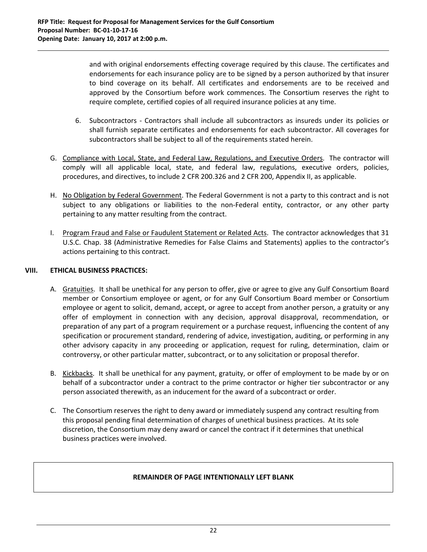and with original endorsements effecting coverage required by this clause. The certificates and endorsements for each insurance policy are to be signed by a person authorized by that insurer to bind coverage on its behalf. All certificates and endorsements are to be received and approved by the Consortium before work commences. The Consortium reserves the right to require complete, certified copies of all required insurance policies at any time.

- 6. Subcontractors ‐ Contractors shall include all subcontractors as insureds under its policies or shall furnish separate certificates and endorsements for each subcontractor. All coverages for subcontractors shall be subject to all of the requirements stated herein.
- G. Compliance with Local, State, and Federal Law, Regulations, and Executive Orders. The contractor will comply will all applicable local, state, and federal law, regulations, executive orders, policies, procedures, and directives, to include 2 CFR 200.326 and 2 CFR 200, Appendix II, as applicable.

- H. No Obligation by Federal Government. The Federal Government is not a party to this contract and is not subject to any obligations or liabilities to the non-Federal entity, contractor, or any other party pertaining to any matter resulting from the contract.
- I. Program Fraud and False or Faudulent Statement or Related Acts. The contractor acknowledges that 31 U.S.C. Chap. 38 (Administrative Remedies for False Claims and Statements) applies to the contractor's actions pertaining to this contract.

# **VIII. ETHICAL BUSINESS PRACTICES:**

- A. Gratuities. It shall be unethical for any person to offer, give or agree to give any Gulf Consortium Board member or Consortium employee or agent, or for any Gulf Consortium Board member or Consortium employee or agent to solicit, demand, accept, or agree to accept from another person, a gratuity or any offer of employment in connection with any decision, approval disapproval, recommendation, or preparation of any part of a program requirement or a purchase request, influencing the content of any specification or procurement standard, rendering of advice, investigation, auditing, or performing in any other advisory capacity in any proceeding or application, request for ruling, determination, claim or controversy, or other particular matter, subcontract, or to any solicitation or proposal therefor.
- B. Kickbacks. It shall be unethical for any payment, gratuity, or offer of employment to be made by or on behalf of a subcontractor under a contract to the prime contractor or higher tier subcontractor or any person associated therewith, as an inducement for the award of a subcontract or order.
- C. The Consortium reserves the right to deny award or immediately suspend any contract resulting from this proposal pending final determination of charges of unethical business practices. At its sole discretion, the Consortium may deny award or cancel the contract if it determines that unethical business practices were involved.

# **REMAINDER OF PAGE INTENTIONALLY LEFT BLANK**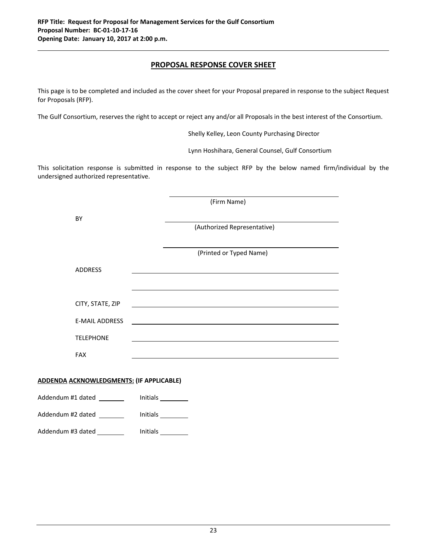# **PROPOSAL RESPONSE COVER SHEET**

This page is to be completed and included as the cover sheet for your Proposal prepared in response to the subject Request for Proposals (RFP).

The Gulf Consortium, reserves the right to accept or reject any and/or all Proposals in the best interest of the Consortium.

Shelly Kelley, Leon County Purchasing Director

Lynn Hoshihara, General Counsel, Gulf Consortium

This solicitation response is submitted in response to the subject RFP by the below named firm/individual by the undersigned authorized representative.

|                                                 | (Firm Name)                                                                                                          |  |
|-------------------------------------------------|----------------------------------------------------------------------------------------------------------------------|--|
| BY                                              | (Authorized Representative)                                                                                          |  |
|                                                 | (Printed or Typed Name)                                                                                              |  |
| <b>ADDRESS</b>                                  |                                                                                                                      |  |
| CITY, STATE, ZIP                                |                                                                                                                      |  |
| <b>E-MAIL ADDRESS</b>                           | <u> 1989 - Andrea Santa Andrea Andrea Santa Andrea Andrea Andrea Andrea Andrea Andrea Andrea Andrea Andrea Andre</u> |  |
| <b>TELEPHONE</b>                                |                                                                                                                      |  |
| <b>FAX</b>                                      | <u> 1989 - Johann Stein, Amerikaansk politiker (* 1958)</u>                                                          |  |
| <b>ADDENDA ACKNOWLEDGMENTS: (IF APPLICABLE)</b> |                                                                                                                      |  |
| Addendum #1 dated _______                       |                                                                                                                      |  |
| Addendum #2 dated ________                      | Initials                                                                                                             |  |

Addendum #3 dated \_\_\_\_\_\_\_\_\_ Initials \_\_\_\_\_\_\_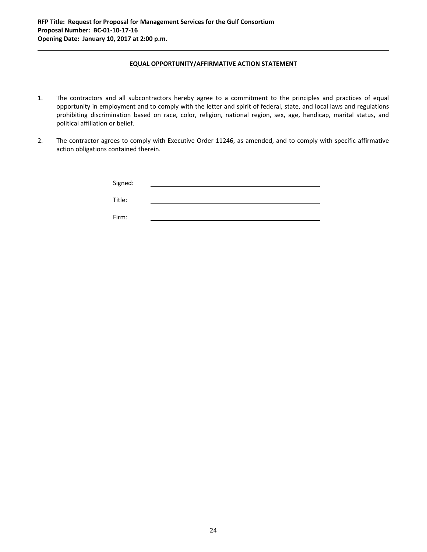#### **EQUAL OPPORTUNITY/AFFIRMATIVE ACTION STATEMENT**

- 1. The contractors and all subcontractors hereby agree to a commitment to the principles and practices of equal opportunity in employment and to comply with the letter and spirit of federal, state, and local laws and regulations prohibiting discrimination based on race, color, religion, national region, sex, age, handicap, marital status, and political affiliation or belief.
- 2. The contractor agrees to comply with Executive Order 11246, as amended, and to comply with specific affirmative action obligations contained therein.

| Signed: |  |
|---------|--|
| Title:  |  |

Firm: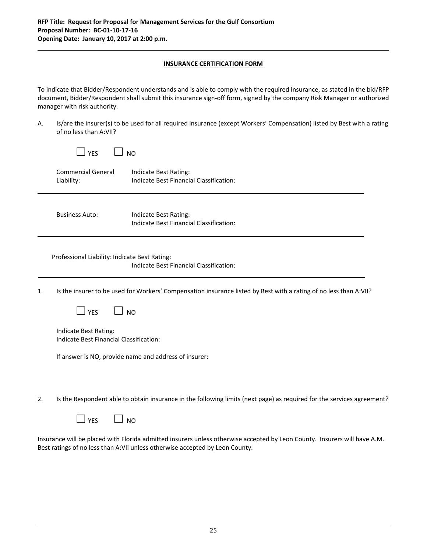#### **INSURANCE CERTIFICATION FORM**

To indicate that Bidder/Respondent understands and is able to comply with the required insurance, as stated in the bid/RFP document, Bidder/Respondent shall submit this insurance sign‐off form, signed by the company Risk Manager or authorized manager with risk authority.

A. Is/are the insurer(s) to be used for all required insurance (except Workers' Compensation) listed by Best with a rating of no less than A:VII?

|    | OF HOTESS LITERED AT VILE                                        |                                                                                                                               |
|----|------------------------------------------------------------------|-------------------------------------------------------------------------------------------------------------------------------|
|    | $\perp$ YES                                                      | <b>NO</b>                                                                                                                     |
|    | <b>Commercial General</b><br>Liability:                          | Indicate Best Rating:<br>Indicate Best Financial Classification:                                                              |
|    | <b>Business Auto:</b>                                            | Indicate Best Rating:<br>Indicate Best Financial Classification:                                                              |
|    | Professional Liability: Indicate Best Rating:                    | Indicate Best Financial Classification:                                                                                       |
| 1. |                                                                  | Is the insurer to be used for Workers' Compensation insurance listed by Best with a rating of no less than A:VII?             |
|    | $\Box$ YES                                                       | <b>NO</b>                                                                                                                     |
|    | Indicate Best Rating:<br>Indicate Best Financial Classification: |                                                                                                                               |
|    |                                                                  | If answer is NO, provide name and address of insurer:                                                                         |
|    |                                                                  |                                                                                                                               |
| 2. |                                                                  | Is the Respondent able to obtain insurance in the following limits (next page) as required for the services agreement?        |
|    | <b>YES</b>                                                       | <b>NO</b>                                                                                                                     |
|    |                                                                  | A A 4 Lucurance will be placed with Florida admitted insurers unless otherwise accepted by Leon County Insurers will have A M |

Insurance will be placed with Florida admitted insurers unless otherwise accepted by Leon County. Insurers will have A.M. Best ratings of no less than A:VII unless otherwise accepted by Leon County.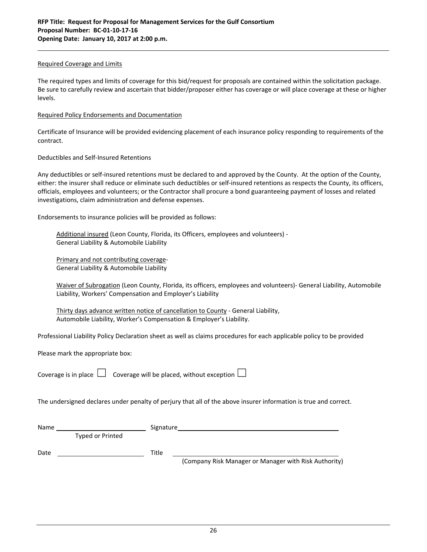#### Required Coverage and Limits

The required types and limits of coverage for this bid/request for proposals are contained within the solicitation package. Be sure to carefully review and ascertain that bidder/proposer either has coverage or will place coverage at these or higher levels.

#### Required Policy Endorsements and Documentation

Certificate of Insurance will be provided evidencing placement of each insurance policy responding to requirements of the contract.

#### Deductibles and Self‐Insured Retentions

Any deductibles or self-insured retentions must be declared to and approved by the County. At the option of the County, either: the insurer shall reduce or eliminate such deductibles or self‐insured retentions as respects the County, its officers, officials, employees and volunteers; or the Contractor shall procure a bond guaranteeing payment of losses and related investigations, claim administration and defense expenses.

Endorsements to insurance policies will be provided as follows:

Additional insured (Leon County, Florida, its Officers, employees and volunteers) ‐ General Liability & Automobile Liability

Primary and not contributing coverage‐ General Liability & Automobile Liability

Waiver of Subrogation (Leon County, Florida, its officers, employees and volunteers)- General Liability, Automobile Liability, Workers' Compensation and Employer's Liability

Thirty days advance written notice of cancellation to County - General Liability, Automobile Liability, Worker's Compensation & Employer's Liability.

Professional Liability Policy Declaration sheet as well as claims procedures for each applicable policy to be provided

Please mark the appropriate box:

| Coverage is in place $\Box$ Coverage will be placed, without exception $\Box$ |  |
|-------------------------------------------------------------------------------|--|

The undersigned declares under penalty of perjury that all of the above insurer information is true and correct.

| Name |                         | Signature                                             |
|------|-------------------------|-------------------------------------------------------|
|      | <b>Typed or Printed</b> |                                                       |
| Date |                         | Title                                                 |
|      |                         | (Company Risk Manager or Manager with Risk Authority) |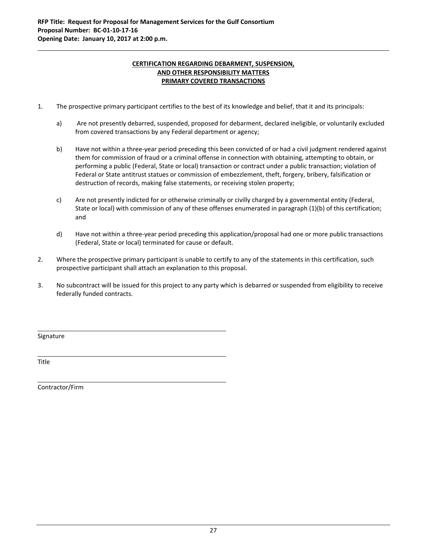### **CERTIFICATION REGARDING DEBARMENT, SUSPENSION, AND OTHER RESPONSIBILITY MATTERS PRIMARY COVERED TRANSACTIONS**

- 1. The prospective primary participant certifies to the best of its knowledge and belief, that it and its principals:
	- a) Are not presently debarred, suspended, proposed for debarment, declared ineligible, or voluntarily excluded from covered transactions by any Federal department or agency;
	- b) Have not within a three‐year period preceding this been convicted of or had a civil judgment rendered against them for commission of fraud or a criminal offense in connection with obtaining, attempting to obtain, or performing a public (Federal, State or local) transaction or contract under a public transaction; violation of Federal or State antitrust statues or commission of embezzlement, theft, forgery, bribery, falsification or destruction of records, making false statements, or receiving stolen property;
	- c) Are not presently indicted for or otherwise criminally or civilly charged by a governmental entity (Federal, State or local) with commission of any of these offenses enumerated in paragraph (1)(b) of this certification; and
	- d) Have not within a three‐year period preceding this application/proposal had one or more public transactions (Federal, State or local) terminated for cause or default.
- 2. Where the prospective primary participant is unable to certify to any of the statements in this certification, such prospective participant shall attach an explanation to this proposal.
- 3. No subcontract will be issued for this project to any party which is debarred or suspended from eligibility to receive federally funded contracts.

<u> 1989 - Andrea San Andrea San Andrea San Andrea San Andrea San Andrea San Andrea San Andrea San Andrea San Andr</u>

<u> 1989 - Johann Stoff, deutscher Stoff, der Stoff, der Stoff, der Stoff, der Stoff, der Stoff, der Stoff, der S</u>

Signature

Title

Contractor/Firm

<u> 1980 - Johann Barn, mars ann an t-Amhain Aonaich an t-Aonaich an t-Aonaich ann an t-Aonaich ann an t-Aonaich</u>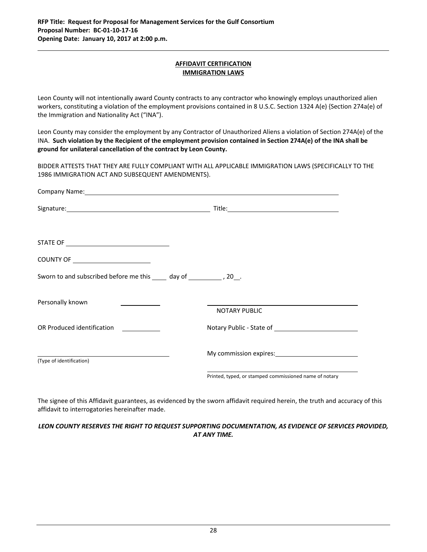#### **AFFIDAVIT CERTIFICATION IMMIGRATION LAWS**

Leon County will not intentionally award County contracts to any contractor who knowingly employs unauthorized alien workers, constituting a violation of the employment provisions contained in 8 U.S.C. Section 1324 A(e) {Section 274a(e) of the Immigration and Nationality Act ("INA").

Leon County may consider the employment by any Contractor of Unauthorized Aliens a violation of Section 274A(e) of the INA. Such violation by the Recipient of the employment provision contained in Section 274A(e) of the INA shall be **ground for unilateral cancellation of the contract by Leon County.**

BIDDER ATTESTS THAT THEY ARE FULLY COMPLIANT WITH ALL APPLICABLE IMMIGRATION LAWS (SPECIFICALLY TO THE 1986 IMMIGRATION ACT AND SUBSEQUENT AMENDMENTS).

| Company Name: Manual Accounts and Accounts and Accounts and Accounts and Accounts and Accounts and Accounts and Accounts and Accounts and Accounts and Accounts and Accounts and Accounts and Accounts and Accounts and Accoun |                                                        |  |
|--------------------------------------------------------------------------------------------------------------------------------------------------------------------------------------------------------------------------------|--------------------------------------------------------|--|
|                                                                                                                                                                                                                                |                                                        |  |
|                                                                                                                                                                                                                                |                                                        |  |
| COUNTY OF <b>Example 20</b>                                                                                                                                                                                                    |                                                        |  |
| Sworn to and subscribed before me this _____ day of _____________, 20___.                                                                                                                                                      |                                                        |  |
| Personally known                                                                                                                                                                                                               |                                                        |  |
|                                                                                                                                                                                                                                | <b>NOTARY PUBLIC</b>                                   |  |
| OR Produced identification                                                                                                                                                                                                     |                                                        |  |
|                                                                                                                                                                                                                                | My commission expires: 1997 My commission expires:     |  |
| (Type of identification)                                                                                                                                                                                                       |                                                        |  |
|                                                                                                                                                                                                                                | Printed, typed, or stamped commissioned name of notary |  |

The signee of this Affidavit guarantees, as evidenced by the sworn affidavit required herein, the truth and accuracy of this affidavit to interrogatories hereinafter made.

*LEON COUNTY RESERVES THE RIGHT TO REQUEST SUPPORTING DOCUMENTATION, AS EVIDENCE OF SERVICES PROVIDED, AT ANY TIME.*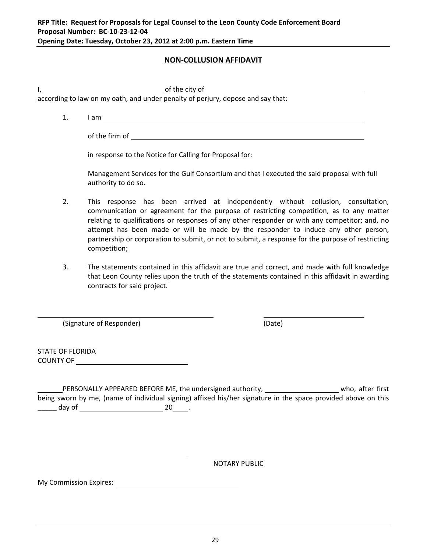# **NON‐COLLUSION AFFIDAVIT**

I, the city of the city of

according to law on my oath, and under penalty of perjury, depose and say that:

1. I am <u>example and the set of the set of the set of the set of the set of the set of the set of the set of the set of the set of the set of the set of the set of the set of the set of the set of the set of the set of the</u>

of the firm of

in response to the Notice for Calling for Proposal for:

Management Services for the Gulf Consortium and that I executed the said proposal with full authority to do so.

- 2. This response has been arrived at independently without collusion, consultation, communication or agreement for the purpose of restricting competition, as to any matter relating to qualifications or responses of any other responder or with any competitor; and, no attempt has been made or will be made by the responder to induce any other person, partnership or corporation to submit, or not to submit, a response for the purpose of restricting competition;
- 3. The statements contained in this affidavit are true and correct, and made with full knowledge that Leon County relies upon the truth of the statements contained in this affidavit in awarding contracts for said project.

(Signature of Responder) (Date)

STATE OF FLORIDA COUNTY OF

PERSONALLY APPEARED BEFORE ME, the undersigned authority, who who, after first being sworn by me, (name of individual signing) affixed his/her signature in the space provided above on this \_\_\_\_\_\_ day of \_\_\_\_\_\_\_\_\_\_\_\_\_\_\_\_\_\_\_\_\_\_\_\_\_\_\_\_\_\_\_\_\_ 20\_\_\_\_\_\_.

<u> 1980 - Jan Salam Barat, manazarta da kasas da shekara 1980 - André a Salam Barat, ma</u>

<u> 1980 - Andrea Barbara, martxa eta politikaria (h. 1980).</u><br>2001 - Andrea Brasilia, inpresidentziar eta politikaria (h. 1980).

NOTARY PUBLIC

My Commission Expires: